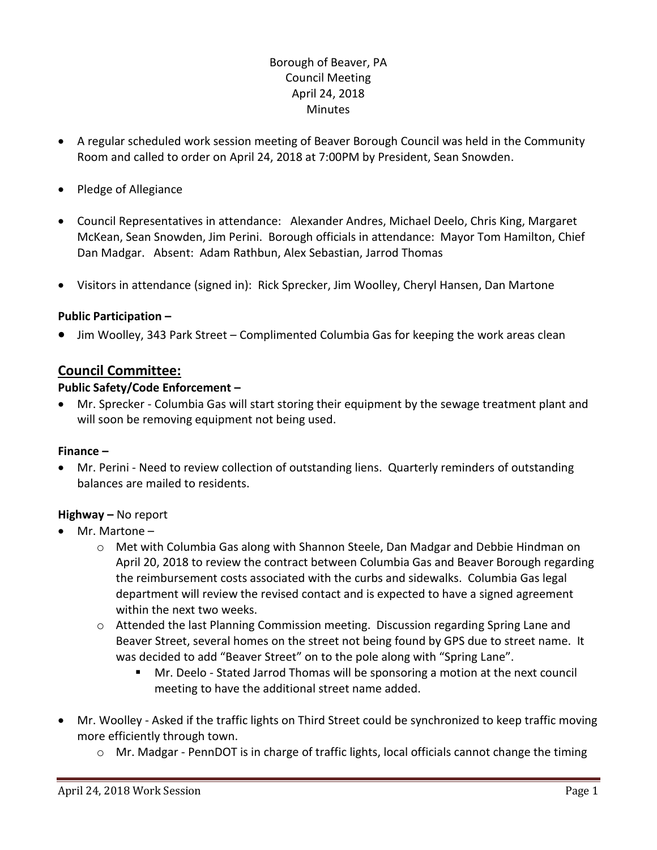## Borough of Beaver, PA Council Meeting April 24, 2018 **Minutes**

- A regular scheduled work session meeting of Beaver Borough Council was held in the Community Room and called to order on April 24, 2018 at 7:00PM by President, Sean Snowden.
- Pledge of Allegiance
- Council Representatives in attendance: Alexander Andres, Michael Deelo, Chris King, Margaret McKean, Sean Snowden, Jim Perini. Borough officials in attendance: Mayor Tom Hamilton, Chief Dan Madgar. Absent: Adam Rathbun, Alex Sebastian, Jarrod Thomas
- Visitors in attendance (signed in): Rick Sprecker, Jim Woolley, Cheryl Hansen, Dan Martone

#### **Public Participation –**

Jim Woolley, 343 Park Street – Complimented Columbia Gas for keeping the work areas clean

# **Council Committee:**

#### **Public Safety/Code Enforcement –**

 Mr. Sprecker - Columbia Gas will start storing their equipment by the sewage treatment plant and will soon be removing equipment not being used.

#### **Finance –**

 Mr. Perini - Need to review collection of outstanding liens. Quarterly reminders of outstanding balances are mailed to residents.

#### **Highway –** No report

- Mr. Martone
	- $\circ$  Met with Columbia Gas along with Shannon Steele, Dan Madgar and Debbie Hindman on April 20, 2018 to review the contract between Columbia Gas and Beaver Borough regarding the reimbursement costs associated with the curbs and sidewalks. Columbia Gas legal department will review the revised contact and is expected to have a signed agreement within the next two weeks.
	- o Attended the last Planning Commission meeting. Discussion regarding Spring Lane and Beaver Street, several homes on the street not being found by GPS due to street name. It was decided to add "Beaver Street" on to the pole along with "Spring Lane".
		- Mr. Deelo Stated Jarrod Thomas will be sponsoring a motion at the next council meeting to have the additional street name added.
- Mr. Woolley Asked if the traffic lights on Third Street could be synchronized to keep traffic moving more efficiently through town.
	- o Mr. Madgar PennDOT is in charge of traffic lights, local officials cannot change the timing